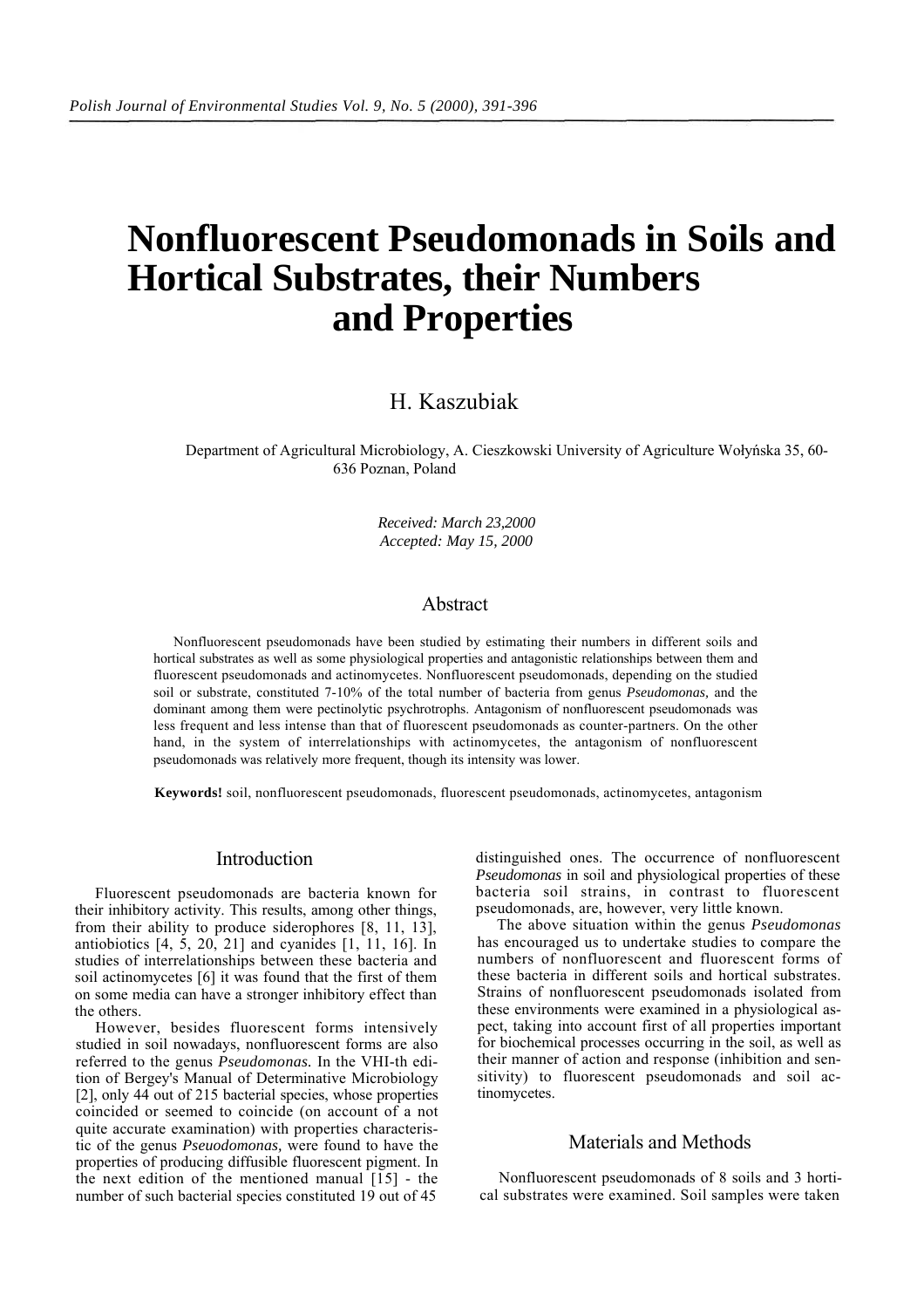# **Nonfluorescent Pseudomonads in Soils and Hortical Substrates, their Numbers and Properties**

# H. Kaszubiak

Department of Agricultural Microbiology, A. Cieszkowski University of Agriculture Wołyńska 35, 60- 636 Poznan, Poland

> *Received: March 23,2000 Accepted: May 15, 2000*

## Abstract

Nonfluorescent pseudomonads have been studied by estimating their numbers in different soils and hortical substrates as well as some physiological properties and antagonistic relationships between them and fluorescent pseudomonads and actinomycetes. Nonfluorescent pseudomonads, depending on the studied soil or substrate, constituted 7-10% of the total number of bacteria from genus *Pseudomonas,* and the dominant among them were pectinolytic psychrotrophs. Antagonism of nonfluorescent pseudomonads was less frequent and less intense than that of fluorescent pseudomonads as counter-partners. On the other hand, in the system of interrelationships with actinomycetes, the antagonism of nonfluorescent pseudomonads was relatively more frequent, though its intensity was lower.

**Keywords!** soil, nonfluorescent pseudomonads, fluorescent pseudomonads, actinomycetes, antagonism

#### Introduction

Fluorescent pseudomonads are bacteria known for their inhibitory activity. This results, among other things, from their ability to produce siderophores [8, 11, 13], antiobiotics [4, 5, 20, 21] and cyanides [1, 11, 16]. In studies of interrelationships between these bacteria and soil actinomycetes [6] it was found that the first of them on some media can have a stronger inhibitory effect than the others.

However, besides fluorescent forms intensively studied in soil nowadays, nonfluorescent forms are also referred to the genus *Pseudomonas.* In the VHI-th edition of Bergey's Manual of Determinative Microbiology [2], only 44 out of 215 bacterial species, whose properties coincided or seemed to coincide (on account of a not quite accurate examination) with properties characteristic of the genus *Pseuodomonas,* were found to have the properties of producing diffusible fluorescent pigment. In the next edition of the mentioned manual  $[15]$  - the number of such bacterial species constituted 19 out of 45

distinguished ones. The occurrence of nonfluorescent *Pseudomonas* in soil and physiological properties of these bacteria soil strains, in contrast to fluorescent pseudomonads, are, however, very little known.

The above situation within the genus *Pseudomonas*  has encouraged us to undertake studies to compare the numbers of nonfluorescent and fluorescent forms of these bacteria in different soils and hortical substrates. Strains of nonfluorescent pseudomonads isolated from these environments were examined in a physiological aspect, taking into account first of all properties important for biochemical processes occurring in the soil, as well as their manner of action and response (inhibition and sensitivity) to fluorescent pseudomonads and soil actinomycetes.

#### Materials and Methods

Nonfluorescent pseudomonads of 8 soils and 3 hortical substrates were examined. Soil samples were taken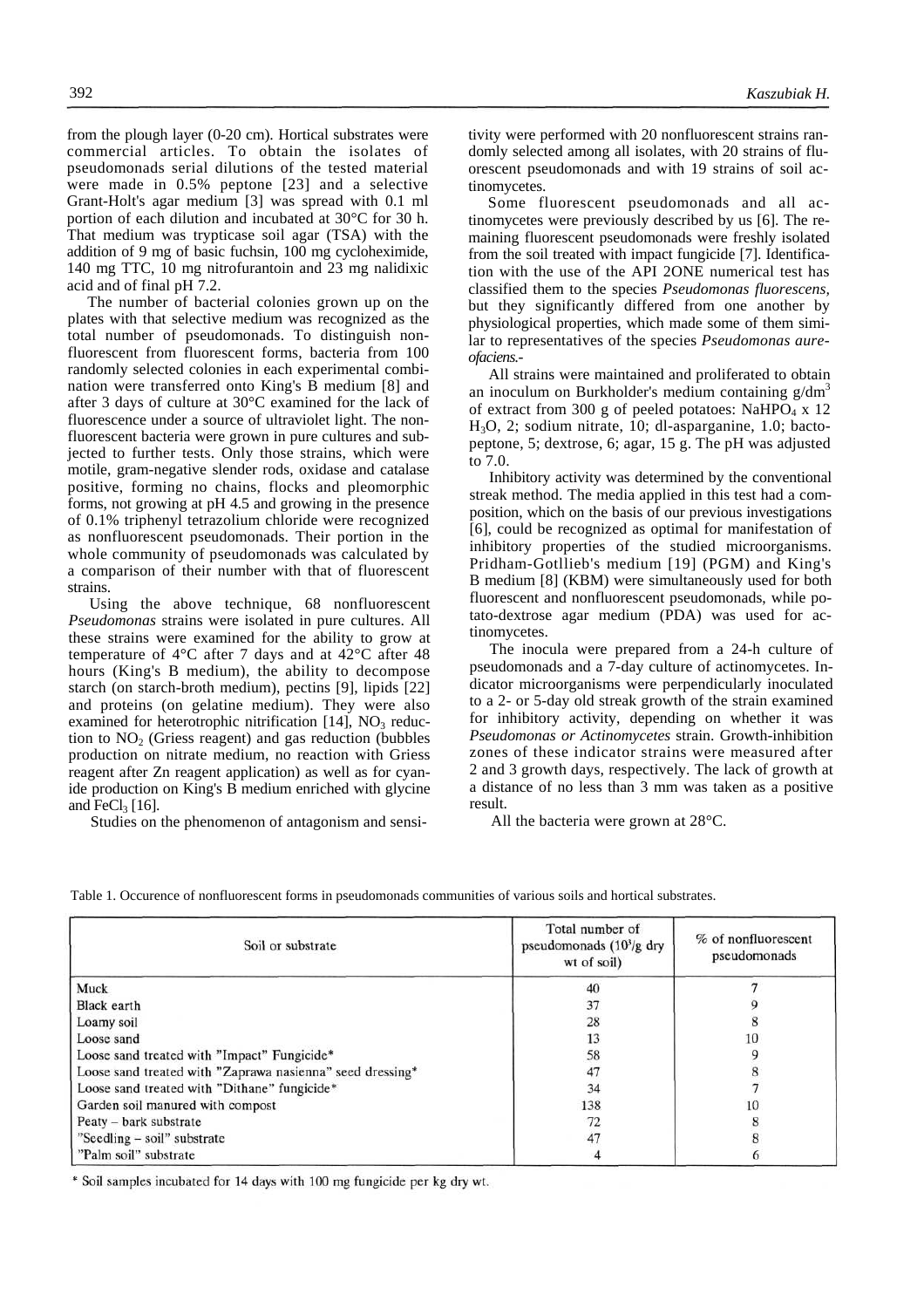from the plough layer (0-20 cm). Hortical substrates were commercial articles. To obtain the isolates of pseudomonads serial dilutions of the tested material were made in 0.5% peptone [23] and a selective Grant-Holt's agar medium [3] was spread with 0.1 ml portion of each dilution and incubated at 30°C for 30 h. That medium was trypticase soil agar (TSA) with the addition of 9 mg of basic fuchsin, 100 mg cycloheximide, 140 mg TTC, 10 mg nitrofurantoin and 23 mg nalidixic acid and of final pH 7.2.

The number of bacterial colonies grown up on the plates with that selective medium was recognized as the total number of pseudomonads. To distinguish nonfluorescent from fluorescent forms, bacteria from 100 randomly selected colonies in each experimental combination were transferred onto King's B medium [8] and after 3 days of culture at 30°C examined for the lack of fluorescence under a source of ultraviolet light. The nonfluorescent bacteria were grown in pure cultures and subjected to further tests. Only those strains, which were motile, gram-negative slender rods, oxidase and catalase positive, forming no chains, flocks and pleomorphic forms, not growing at pH 4.5 and growing in the presence of 0.1% triphenyl tetrazolium chloride were recognized as nonfluorescent pseudomonads. Their portion in the whole community of pseudomonads was calculated by a comparison of their number with that of fluorescent strains.

Using the above technique, 68 nonfluorescent *Pseudomonas* strains were isolated in pure cultures. All these strains were examined for the ability to grow at temperature of 4°C after 7 days and at 42°C after 48 hours (King's B medium), the ability to decompose starch (on starch-broth medium), pectins [9], lipids [22] and proteins (on gelatine medium). They were also examined for heterotrophic nitrification  $[14]$ , NO<sub>3</sub> reduction to  $NO<sub>2</sub>$  (Griess reagent) and gas reduction (bubbles production on nitrate medium, no reaction with Griess reagent after Zn reagent application) as well as for cyanide production on King's B medium enriched with glycine and FeCl<sub>3</sub> [16].

Studies on the phenomenon of antagonism and sensi-

tivity were performed with 20 nonfluorescent strains randomly selected among all isolates, with 20 strains of fluorescent pseudomonads and with 19 strains of soil actinomycetes.

Some fluorescent pseudomonads and all actinomycetes were previously described by us [6]. The remaining fluorescent pseudomonads were freshly isolated from the soil treated with impact fungicide [7]. Identification with the use of the API 2ONE numerical test has classified them to the species *Pseudomonas fluorescens,*  but they significantly differed from one another by physiological properties, which made some of them similar to representatives of the species *Pseudomonas aureofaciens.-*

All strains were maintained and proliferated to obtain an inoculum on Burkholder's medium containing  $g/dm<sup>3</sup>$ of extract from 300 g of peeled potatoes: NaHPO<sub>4</sub> x 12 H3O, 2; sodium nitrate, 10; dl-asparganine, 1.0; bactopeptone, 5; dextrose, 6; agar, 15 g. The pH was adjusted to 7.0.

Inhibitory activity was determined by the conventional streak method. The media applied in this test had a composition, which on the basis of our previous investigations [6], could be recognized as optimal for manifestation of inhibitory properties of the studied microorganisms. Pridham-Gotllieb's medium [19] (PGM) and King's B medium [8] (KBM) were simultaneously used for both fluorescent and nonfluorescent pseudomonads, while potato-dextrose agar medium (PDA) was used for actinomycetes.

The inocula were prepared from a 24-h culture of pseudomonads and a 7-day culture of actinomycetes. Indicator microorganisms were perpendicularly inoculated to a 2- or 5-day old streak growth of the strain examined for inhibitory activity, depending on whether it was *Pseudomonas or Actinomycetes* strain. Growth-inhibition zones of these indicator strains were measured after 2 and 3 growth days, respectively. The lack of growth at a distance of no less than 3 mm was taken as a positive result.

All the bacteria were grown at 28°C.

| Soil or substrate                                         | Total number of<br>pseudomonads $(10^3/g)$ dry<br>wt of soil) | % of nonfluorescent<br>pseudomonads |
|-----------------------------------------------------------|---------------------------------------------------------------|-------------------------------------|
| Muck                                                      | 40                                                            |                                     |
| Black earth                                               | 37                                                            |                                     |
| Loamy soil                                                | 28                                                            |                                     |
| Loose sand                                                | 13                                                            | 10                                  |
| Loose sand treated with "Impact" Fungicide*               | 58                                                            |                                     |
| Loose sand treated with "Zaprawa nasienna" seed dressing* | 47                                                            |                                     |
| Loose sand treated with "Dithane" fungicide*              | 34                                                            |                                     |
| Garden soil manured with compost                          | 138                                                           | 10                                  |
| Peaty - bark substrate                                    | 72                                                            |                                     |
| "Seedling – soil" substrate                               | 47                                                            |                                     |
| "Palm soil" substrate                                     |                                                               |                                     |

Table 1. Occurence of nonfluorescent forms in pseudomonads communities of various soils and hortical substrates.

\* Soil samples incubated for 14 days with 100 mg fungicide per kg dry wt.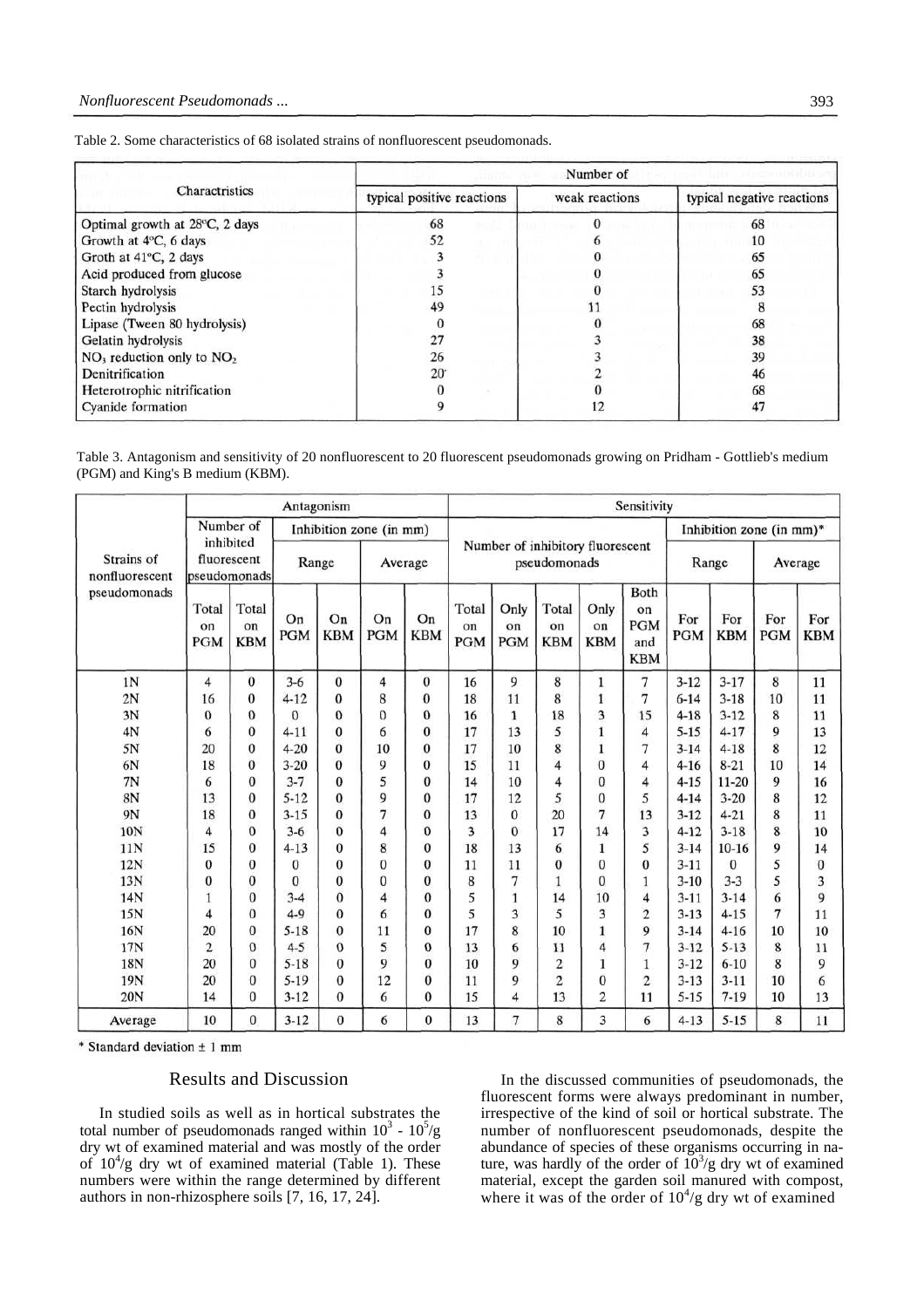|  |  |  |  |  |  |  |  | Table 2. Some characteristics of 68 isolated strains of nonfluorescent pseudomonads. |
|--|--|--|--|--|--|--|--|--------------------------------------------------------------------------------------|
|--|--|--|--|--|--|--|--|--------------------------------------------------------------------------------------|

|                                | Number of<br><b>PUTCH HIMPING</b> |                |                            |  |  |  |  |
|--------------------------------|-----------------------------------|----------------|----------------------------|--|--|--|--|
| Charactristics                 | typical positive reactions        | weak reactions | typical negative reactions |  |  |  |  |
| Optimal growth at 28°C, 2 days | 68                                |                | 68                         |  |  |  |  |
| Growth at 4°C, 6 days          | 52                                |                | 10                         |  |  |  |  |
| Groth at 41°C, 2 days          |                                   |                | 65                         |  |  |  |  |
| Acid produced from glucose     |                                   |                | 65                         |  |  |  |  |
| Starch hydrolysis              |                                   |                | 53                         |  |  |  |  |
| Pectin hydrolysis              | 49                                |                |                            |  |  |  |  |
| Lipase (Tween 80 hydrolysis)   |                                   |                | 68                         |  |  |  |  |
| Gelatin hydrolysis             | 27                                |                | 38                         |  |  |  |  |
| $NO3$ reduction only to $NO2$  | 26                                |                | 39                         |  |  |  |  |
| Denitrification                | $20^{\circ}$                      |                | 46                         |  |  |  |  |
| Heterotrophic nitrification    |                                   |                | 68                         |  |  |  |  |
| <b>Cyanide</b> formation       |                                   | 12             | 47                         |  |  |  |  |

Table 3. Antagonism and sensitivity of 20 nonfluorescent to 20 fluorescent pseudomonads growing on Pridham - Gottlieb's medium (PGM) and King's B medium (KBM).

|                                                                          |                           |                           |                  | Antagonism       |                         |                  |                                                  |                          |                           |                          | Sensitivity                                   |                   |                   |                |                   |  |
|--------------------------------------------------------------------------|---------------------------|---------------------------|------------------|------------------|-------------------------|------------------|--------------------------------------------------|--------------------------|---------------------------|--------------------------|-----------------------------------------------|-------------------|-------------------|----------------|-------------------|--|
|                                                                          |                           | Number of                 |                  |                  | Inhibition zone (in mm) |                  |                                                  |                          |                           |                          | Inhibition zone (in mm)*                      |                   |                   |                |                   |  |
| inhibited<br>Strains of<br>fluorescent<br>pseudomonads<br>nonfluorescent |                           |                           |                  | Range            | Average                 |                  | Number of inhibitory fluorescent<br>pseudomonads |                          |                           |                          | Range                                         |                   | Average           |                |                   |  |
| pseudomonads                                                             | Total<br>on<br><b>PGM</b> | Total<br>on<br><b>KBM</b> | On<br><b>PGM</b> | On<br><b>KBM</b> | On<br><b>PGM</b>        | On<br><b>KBM</b> | Total<br>on<br><b>PGM</b>                        | Only<br>on<br><b>PGM</b> | Total<br>on<br><b>KBM</b> | Only<br>on<br><b>KBM</b> | Both<br>on<br><b>PGM</b><br>and<br><b>KBM</b> | For<br><b>PGM</b> | For<br><b>KBM</b> | For<br>PGM     | For<br><b>KBM</b> |  |
| 1N                                                                       | 4                         | $\bf{0}$                  | $3 - 6$          | $\mathbf{0}$     | $\overline{4}$          | $\bf{0}$         | 16                                               | 9                        | 8                         | $\mathbf{1}$             | 7                                             | $3 - 12$          | $3 - 17$          | 8              | 11                |  |
| 2N                                                                       | 16                        | 0                         | $4 - 12$         | $\bf{0}$         | 8                       | $\bf{0}$         | 18                                               | 11                       | 8                         | $\mathbf{1}$             | 7                                             | $6 - 14$          | $3 - 18$          | 10             | 11                |  |
| 3N                                                                       | $\theta$                  | 0                         | $\theta$         | 0                | $\theta$                | $\bf{0}$         | 16                                               | 1                        | 18                        | 3                        | 15                                            | $4 - 18$          | $3 - 12$          | 8              | 11                |  |
| 4N                                                                       | 6                         | 0                         | $4 - 11$         | 0                | 6                       | $\bf{0}$         | 17                                               | 13                       | 5                         | 1                        | 4                                             | $5 - 15$          | $4 - 17$          | 9              | 13                |  |
| 5N                                                                       | 20                        | $\bf{0}$                  | $4 - 20$         | $\theta$         | 10                      | $\bf{0}$         | 17                                               | 10                       | 8                         | 1                        | 7                                             | $3 - 14$          | $4 - 18$          | 8              | 12                |  |
| 6N                                                                       | 18                        | $\bf{0}$                  | $3 - 20$         | $\bf{0}$         | 9                       | $\bf{0}$         | 15                                               | 11                       | 4                         | $\mathbf{0}$             | 4                                             | $4 - 16$          | $8 - 21$          | 10             | 14                |  |
| 7N                                                                       | 6                         | 0                         | $3 - 7$          | $\bf{0}$         | 5                       | $\bf{0}$         | 14                                               | 10                       | 4                         | $\mathbf{0}$             | 4                                             | $4 - 15$          | $11 - 20$         | 9              | 16                |  |
| 8N                                                                       | 13                        | $\mathbf{0}$              | $5 - 12$         | $\bf{0}$         | 9                       | $\bf{0}$         | 17                                               | 12                       | 5                         | $\Omega$                 | 5                                             | $4 - 14$          | $3 - 20$          | 8              | 12                |  |
| 9N                                                                       | 18                        | $\theta$                  | $3 - 15$         | $\theta$         | 7                       | $\bf{0}$         | 13                                               | $\theta$                 | 20                        | 7                        | 13                                            | $3 - 12$          | $4 - 21$          | 8              | 11                |  |
| 10N                                                                      | 4                         | $\mathbf{0}$              | $3 - 6$          | $\overline{0}$   | 4                       | $\mathbf{0}$     | 3                                                | $\Omega$                 | 17                        | 14                       | 3                                             | $4 - 12$          | $3 - 18$          | 8              | 10                |  |
| 11N                                                                      | 15                        | 0                         | $4 - 13$         | 0                | 8                       | $\mathbf{0}$     | 18                                               | 13                       | 6                         | 1                        | 5                                             | $3 - 14$          | $10-16$           | 9              | 14                |  |
| 12N                                                                      | 0                         | 0                         | $\bf{0}$         | $\theta$         | $\bf{0}$                | $\bf{0}$         | 11                                               | 11                       | 0                         | 0                        | $\bf{0}$                                      | $3 - 11$          | $\bf{0}$          | 5              | $\bf{0}$          |  |
| 13N                                                                      | 0                         | 0                         | $\Omega$         | $\overline{0}$   | $\mathbf{0}$            | $\bf{0}$         | 8                                                | 7                        | 1                         | $\overline{0}$           | $\mathbf{1}$                                  | $3 - 10$          | $3 - 3$           | 5              | 3                 |  |
| 14N                                                                      |                           | $\theta$                  | $3 - 4$          | $\theta$         | 4                       | $\bf{0}$         | 5                                                | 1                        | 14                        | 10                       | $\overline{4}$                                | $3 - 11$          | $3 - 14$          | 6              | 9                 |  |
| 15N                                                                      | 4                         | $\overline{0}$            | $4 - 9$          | $\mathbf{0}$     | 6                       | $\bf{0}$         | 5                                                | 3                        | 5                         | 3                        | $\overline{c}$                                | $3 - 13$          | $4 - 15$          | $\overline{7}$ | 11                |  |
| 16N                                                                      | 20                        | 0                         | $5 - 18$         | $\theta$         | 11                      | 0                | 17                                               | 8                        | 10                        | 1                        | 9                                             | $3 - 14$          | $4 - 16$          | 10             | 10                |  |
| 17N                                                                      | $\overline{2}$            | $\Omega$                  | $4 - 5$          | $\theta$         | 5                       | $\mathbf{0}$     | 13                                               | 6                        | 11                        | 4                        | $\overline{\tau}$                             | $3 - 12$          | $5-13$            | 8              | 11                |  |
| 18N                                                                      | 20                        | $\Omega$                  | $5 - 18$         | $\overline{0}$   | 9                       | $\bf{0}$         | 10                                               | 9                        | $\overline{c}$            | 1                        | $\mathbf{1}$                                  | $3 - 12$          | $6 - 10$          | 8              | 9                 |  |
| 19N                                                                      | 20                        | $\theta$                  | $5-19$           | $\theta$         | 12                      | $\bf{0}$         | 11                                               | 9                        | $\overline{2}$            | $\theta$                 | $\overline{c}$                                | $3 - 13$          | $3 - 11$          | 10             | 6                 |  |
| 20N                                                                      | 14                        | $\Omega$                  | $3 - 12$         | $\bf{0}$         | 6                       | $\bf{0}$         | 15                                               | 4                        | 13                        | $\overline{2}$           | 11                                            | $5 - 15$          | $7 - 19$          | 10             | 13                |  |
| Average                                                                  | 10                        | $\Omega$                  | $3-12$           | $\Omega$         | 6                       | $\bf{0}$         | 13                                               | 7                        | 8                         | 3                        | 6                                             | $4 - 13$          | $5 - 15$          | 8              | 11                |  |

 $*$  Standard deviation  $\pm$  1 mm

### Results and Discussion

In studied soils as well as in hortical substrates the total number of pseudomonads ranged within  $10^3 \text{ - } 10^5/\text{g}$ dry wt of examined material and was mostly of the order of  $10^4$ /g dry wt of examined material (Table 1). These numbers were within the range determined by different authors in non-rhizosphere soils [7, 16, 17, 24].

In the discussed communities of pseudomonads, the fluorescent forms were always predominant in number, irrespective of the kind of soil or hortical substrate. The number of nonfluorescent pseudomonads, despite the abundance of species of these organisms occurring in nature, was hardly of the order of  $10^{3}/g$  dry wt of examined material, except the garden soil manured with compost, where it was of the order of  $10^4/g$  dry wt of examined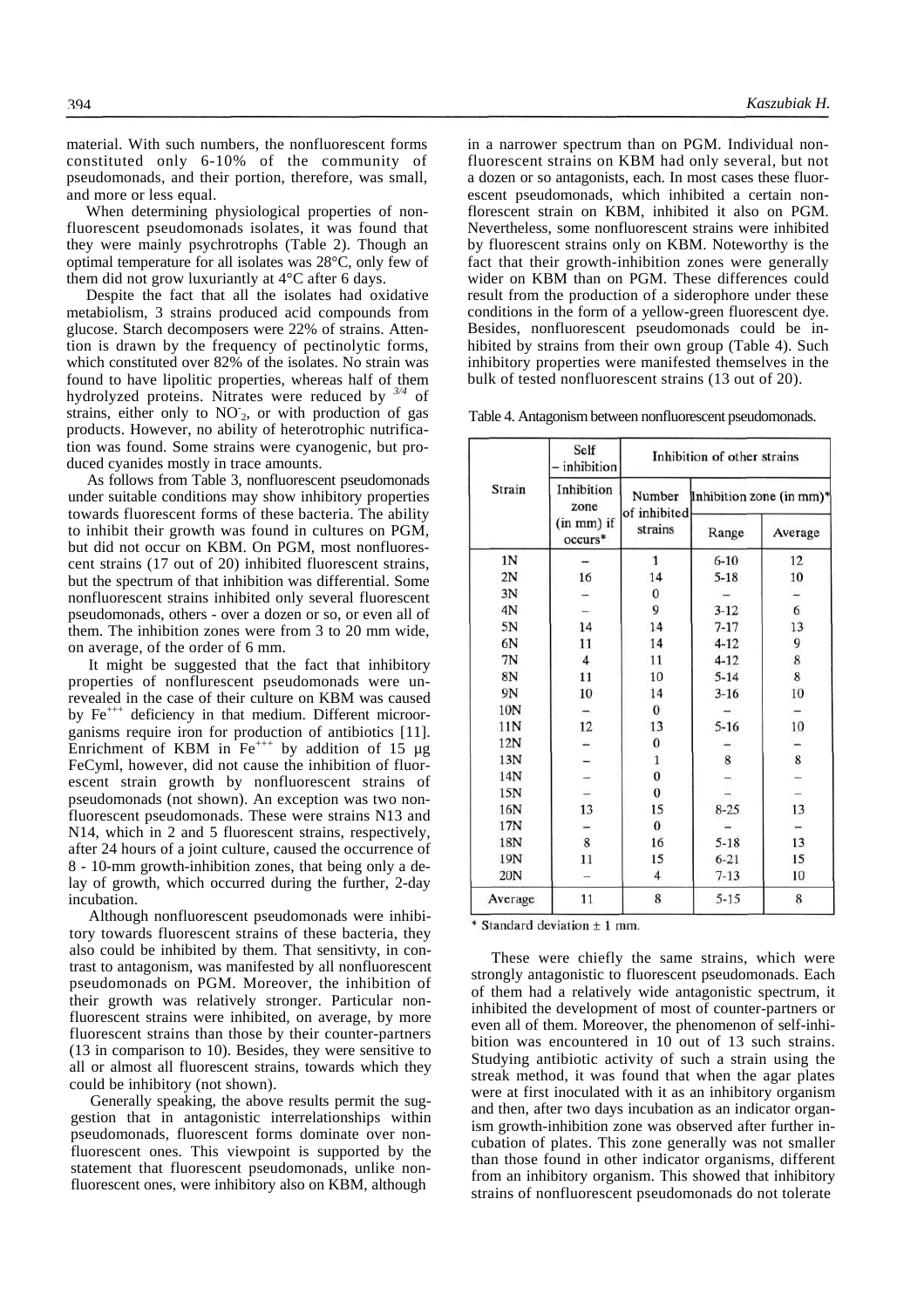material. With such numbers, the nonfluorescent forms constituted only 6-10% of the community of pseudomonads, and their portion, therefore, was small, and more or less equal.

When determining physiological properties of nonfluorescent pseudomonads isolates, it was found that they were mainly psychrotrophs (Table 2). Though an optimal temperature for all isolates was 28°C, only few of them did not grow luxuriantly at 4°C after 6 days.

Despite the fact that all the isolates had oxidative metabiolism, 3 strains produced acid compounds from glucose. Starch decomposers were 22% of strains. Attention is drawn by the frequency of pectinolytic forms, which constituted over 82% of the isolates. No strain was found to have lipolitic properties, whereas half of them hydrolyzed proteins. Nitrates were reduced by *3/4* of strains, either only to  $NO<sub>2</sub>$ , or with production of gas products. However, no ability of heterotrophic nutrification was found. Some strains were cyanogenic, but produced cyanides mostly in trace amounts.

As follows from Table 3, nonfluorescent pseudomonads under suitable conditions may show inhibitory properties towards fluorescent forms of these bacteria. The ability to inhibit their growth was found in cultures on PGM, but did not occur on KBM. On PGM, most nonfluorescent strains (17 out of 20) inhibited fluorescent strains, but the spectrum of that inhibition was differential. Some nonfluorescent strains inhibited only several fluorescent pseudomonads, others - over a dozen or so, or even all of them. The inhibition zones were from 3 to 20 mm wide, on average, of the order of 6 mm.

It might be suggested that the fact that inhibitory properties of nonflurescent pseudomonads were unrevealed in the case of their culture on KBM was caused by  $Fe^{++}$  deficiency in that medium. Different microorganisms require iron for production of antibiotics [11]. Enrichment of KBM in  $Fe^{+++}$  by addition of 15  $\mu$ g FeCyml, however, did not cause the inhibition of fluorescent strain growth by nonfluorescent strains of pseudomonads (not shown). An exception was two nonfluorescent pseudomonads. These were strains N13 and N14, which in 2 and 5 fluorescent strains, respectively, after 24 hours of a joint culture, caused the occurrence of 8 - 10-mm growth-inhibition zones, that being only a delay of growth, which occurred during the further, 2-day incubation.

Although nonfluorescent pseudomonads were inhibitory towards fluorescent strains of these bacteria, they also could be inhibited by them. That sensitivty, in contrast to antagonism, was manifested by all nonfluorescent pseudomonads on PGM. Moreover, the inhibition of their growth was relatively stronger. Particular nonfluorescent strains were inhibited, on average, by more fluorescent strains than those by their counter-partners (13 in comparison to 10). Besides, they were sensitive to all or almost all fluorescent strains, towards which they could be inhibitory (not shown).

Generally speaking, the above results permit the suggestion that in antagonistic interrelationships within pseudomonads, fluorescent forms dominate over nonfluorescent ones. This viewpoint is supported by the statement that fluorescent pseudomonads, unlike nonfluorescent ones, were inhibitory also on KBM, although

in a narrower spectrum than on PGM. Individual nonfluorescent strains on KBM had only several, but not a dozen or so antagonists, each. In most cases these fluorescent pseudomonads, which inhibited a certain nonflorescent strain on KBM, inhibited it also on PGM. Nevertheless, some nonfluorescent strains were inhibited by fluorescent strains only on KBM. Noteworthy is the fact that their growth-inhibition zones were generally wider on KBM than on PGM. These differences could result from the production of a siderophore under these conditions in the form of a yellow-green fluorescent dye. Besides, nonfluorescent pseudomonads could be inhibited by strains from their own group (Table 4). Such inhibitory properties were manifested themselves in the bulk of tested nonfluorescent strains (13 out of 20).

Table 4. Antagonism between nonfluorescent pseudomonads.

|                 | Self<br>inhibition    |                        | Inhibition of other strains |         |  |  |
|-----------------|-----------------------|------------------------|-----------------------------|---------|--|--|
| Strain          | Inhibition<br>zone    | Number<br>of inhibited | Inhibition zone (in mm)*    |         |  |  |
|                 | (in mm) if<br>occurs* | strains                | Range                       | Average |  |  |
| 1N              |                       | $\mathbf{1}$           | $6 - 10$                    | 12      |  |  |
| 2N              | 16                    | 14                     | $5 - 18$                    | 10      |  |  |
| 3N              |                       | $\bf{0}$               |                             |         |  |  |
| 4N              |                       | 9                      | $3-12$                      | 6       |  |  |
| 5N              | 14                    | 14                     | $7 - 17$                    | 13      |  |  |
| 6N              | 11                    | 14                     | $4 - 12$                    | 9       |  |  |
| 7N              | $\overline{4}$        | 11                     | $4 - 12$                    | 8       |  |  |
| 8N              | 11                    | 10                     | $5 - 14$                    | 8       |  |  |
| 9N              | 10                    | 14                     | $3 - 16$                    | 10      |  |  |
| 10N             |                       | $\mathbf{0}$           |                             |         |  |  |
| 11N             | 12                    | 13                     | $5 - 16$                    | 10      |  |  |
| 12N             |                       | $\bf{0}$               |                             |         |  |  |
| 13N             |                       | $\mathbf{1}$           | 8                           | 8       |  |  |
| 14N             |                       | $\bf{0}$               |                             |         |  |  |
| 15N             |                       | 0                      |                             |         |  |  |
| 16N             | 13                    | 15                     | $8 - 25$                    | 13      |  |  |
| 17N             |                       | $\Omega$               |                             |         |  |  |
| 18N             | 8                     | 16                     | $5 - 18$                    | 13      |  |  |
| 19N             | 11                    | 15                     | $6 - 21$                    | 15      |  |  |
| 20 <sub>N</sub> |                       | 4                      | $7 - 13$                    | 10      |  |  |
| Average         | 11                    | 8                      | $5 - 15$                    | 8       |  |  |

\* Standard deviation  $\pm$  1 mm.

These were chiefly the same strains, which were strongly antagonistic to fluorescent pseudomonads. Each of them had a relatively wide antagonistic spectrum, it inhibited the development of most of counter-partners or even all of them. Moreover, the phenomenon of self-inhibition was encountered in 10 out of 13 such strains. Studying antibiotic activity of such a strain using the streak method, it was found that when the agar plates were at first inoculated with it as an inhibitory organism and then, after two days incubation as an indicator organism growth-inhibition zone was observed after further incubation of plates. This zone generally was not smaller than those found in other indicator organisms, different from an inhibitory organism. This showed that inhibitory strains of nonfluorescent pseudomonads do not tolerate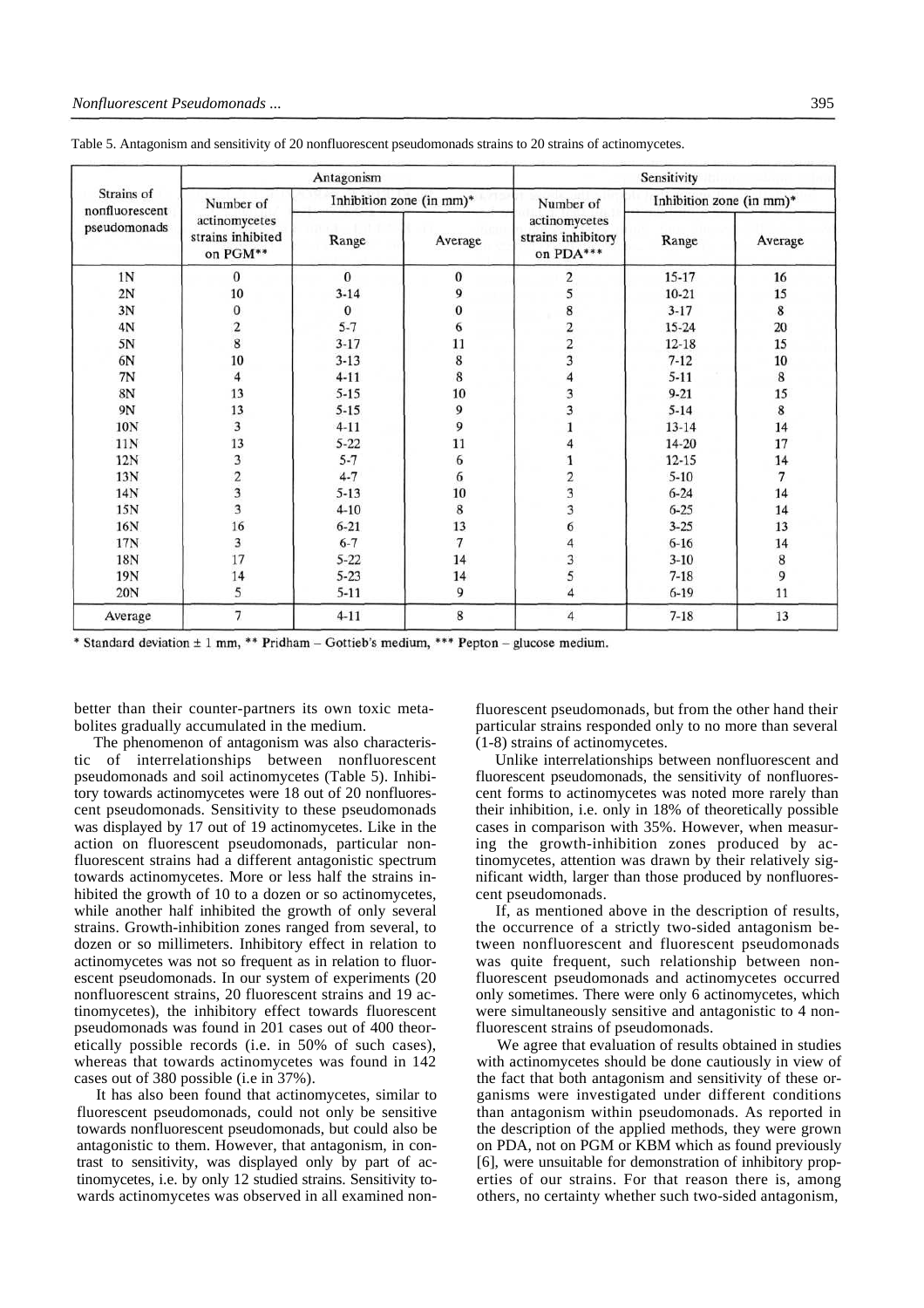|                                              |                                                 | Antagonism |                          | Sensitivity                                      |                          |                                       |  |  |
|----------------------------------------------|-------------------------------------------------|------------|--------------------------|--------------------------------------------------|--------------------------|---------------------------------------|--|--|
| Strains of<br>nonfluorescent<br>pseudomonads | Number of                                       |            | Inhibition zone (in mm)* | Number of                                        | Inhibition zone (in mm)* |                                       |  |  |
|                                              | actinomycetes<br>strains inhibited<br>on PGM**  | Range      | Average                  | actinomycetes<br>strains inhibitory<br>on PDA*** | Range                    | Average                               |  |  |
| 1 <sub>N</sub>                               | $\bf{0}$                                        | $\bf{0}$   | $\boldsymbol{0}$         | 2                                                | $15-17$                  | 16                                    |  |  |
| 2N                                           | 10                                              | $3 - 14$   | 9                        | 5                                                | $10 - 21$                | 15                                    |  |  |
| 3N                                           | $\boldsymbol{0}$                                | $\bf{0}$   | $\pmb{0}$                | 8                                                | $3 - 17$                 | $\bf8$                                |  |  |
| 4N                                           |                                                 | $5 - 7$    | 6                        |                                                  | $15 - 24$                | 20                                    |  |  |
| 5N                                           | $\frac{2}{8}$                                   | $3 - 17$   | 11                       | $\frac{2}{3}$                                    | $12 - 18$                | 15                                    |  |  |
| 6N                                           | 10                                              | $3 - 13$   | 8                        |                                                  | $7 - 12$                 | 10                                    |  |  |
| 7N                                           | $\overline{4}$                                  | $4 - 11$   | 8                        | $\overline{4}$                                   | $5 - 11$                 | $\bf 8$                               |  |  |
| 8N                                           | 13                                              | $5 - 15$   | 10                       | 3                                                | $9 - 21$                 | 15                                    |  |  |
| 9N                                           | 13                                              | $5 - 15$   | 9                        | 3                                                | $5 - 14$                 | $\bf 8$                               |  |  |
| 10N                                          | 3                                               | $4 - 11$   | 9                        |                                                  | $13 - 14$                | 14                                    |  |  |
| 11N                                          | 13                                              | $5 - 22$   | 11                       | 4                                                | 14-20                    | 17                                    |  |  |
| 12N                                          |                                                 | $5 - 7$    | 6                        | $\mathbf{1}$                                     | $12 - 15$                | 14                                    |  |  |
| 13N                                          | $\begin{array}{c} 3 \\ 2 \\ 3 \\ 3 \end{array}$ | $4 - 7$    | 6                        |                                                  | $5 - 10$                 | $\overline{\phantom{a}}$              |  |  |
| 14N                                          |                                                 | $5 - 13$   | 10                       | $\frac{2}{3}$                                    | $6 - 24$                 | 14                                    |  |  |
| 15N                                          |                                                 | $4 - 10$   | 8                        | $\overline{\mathbf{3}}$                          | $6 - 25$                 | 14                                    |  |  |
| 16N                                          | 16                                              | $6 - 21$   | 13                       | 6                                                | $3 - 25$                 | 13                                    |  |  |
| 17N                                          | 3                                               | $6 - 7$    | $\boldsymbol{7}$         | 4                                                | $6 - 16$                 | 14                                    |  |  |
| 18N                                          | 17                                              | $5 - 22$   | 14                       | 3                                                | $3-10$                   |                                       |  |  |
| 19N                                          | 14                                              | $5 - 23$   | 14                       | 5                                                | $7 - 18$                 | $\begin{array}{c} 8 \\ 9 \end{array}$ |  |  |
| 20N                                          | 5                                               | $5 - 11$   | 9                        | $\overline{4}$                                   | $6 - 19$                 | 11                                    |  |  |
| Average                                      | $\overline{7}$                                  | $4 - 11$   | 8                        | $\overline{4}$                                   | $7 - 18$                 | 13                                    |  |  |

Table 5. Antagonism and sensitivity of 20 nonfluorescent pseudomonads strains to 20 strains of actinomycetes.

\* Standard deviation ± 1 mm, \*\* Pridham - Gottieb's medium, \*\*\* Pepton - glucose medium.

better than their counter-partners its own toxic metabolites gradually accumulated in the medium.

The phenomenon of antagonism was also characteristic of interrelationships between nonfluorescent pseudomonads and soil actinomycetes (Table 5). Inhibitory towards actinomycetes were 18 out of 20 nonfluorescent pseudomonads. Sensitivity to these pseudomonads was displayed by 17 out of 19 actinomycetes. Like in the action on fluorescent pseudomonads, particular nonfluorescent strains had a different antagonistic spectrum towards actinomycetes. More or less half the strains inhibited the growth of 10 to a dozen or so actinomycetes. while another half inhibited the growth of only several strains. Growth-inhibition zones ranged from several, to dozen or so millimeters. Inhibitory effect in relation to actinomycetes was not so frequent as in relation to fluorescent pseudomonads. In our system of experiments (20 nonfluorescent strains, 20 fluorescent strains and 19 actinomycetes), the inhibitory effect towards fluorescent pseudomonads was found in 201 cases out of 400 theoretically possible records (i.e. in 50% of such cases), whereas that towards actinomycetes was found in 142 cases out of 380 possible (i.e in 37%).

It has also been found that actinomycetes, similar to fluorescent pseudomonads, could not only be sensitive towards nonfluorescent pseudomonads, but could also be antagonistic to them. However, that antagonism, in contrast to sensitivity, was displayed only by part of actinomycetes, i.e. by only 12 studied strains. Sensitivity towards actinomycetes was observed in all examined nonfluorescent pseudomonads, but from the other hand their particular strains responded only to no more than several (1-8) strains of actinomycetes.

Unlike interrelationships between nonfluorescent and fluorescent pseudomonads, the sensitivity of nonfluorescent forms to actinomycetes was noted more rarely than their inhibition, i.e. only in 18% of theoretically possible cases in comparison with 35%. However, when measuring the growth-inhibition zones produced by actinomycetes, attention was drawn by their relatively significant width, larger than those produced by nonfluorescent pseudomonads.

If, as mentioned above in the description of results, the occurrence of a strictly two-sided antagonism between nonfluorescent and fluorescent pseudomonads was quite frequent, such relationship between nonfluorescent pseudomonads and actinomycetes occurred only sometimes. There were only 6 actinomycetes, which were simultaneously sensitive and antagonistic to 4 nonfluorescent strains of pseudomonads.

We agree that evaluation of results obtained in studies with actinomycetes should be done cautiously in view of the fact that both antagonism and sensitivity of these organisms were investigated under different conditions than antagonism within pseudomonads. As reported in the description of the applied methods, they were grown on PDA, not on PGM or KBM which as found previously [6], were unsuitable for demonstration of inhibitory properties of our strains. For that reason there is, among others, no certainty whether such two-sided antagonism,